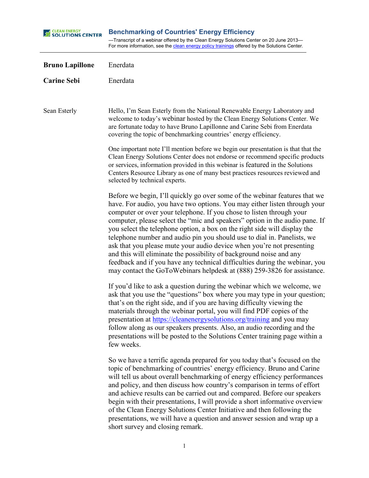| <b>SEAR ENERGY</b><br>SOLUTIONS CENTER | <b>Benchmarking of Countries' Energy Efficiency</b><br>-Transcript of a webinar offered by the Clean Energy Solutions Center on 20 June 2013-<br>For more information, see the clean energy policy trainings offered by the Solutions Center.                                                                                                                                                                                                                                                                                                                                                                                                                                                                                                                                    |
|----------------------------------------|----------------------------------------------------------------------------------------------------------------------------------------------------------------------------------------------------------------------------------------------------------------------------------------------------------------------------------------------------------------------------------------------------------------------------------------------------------------------------------------------------------------------------------------------------------------------------------------------------------------------------------------------------------------------------------------------------------------------------------------------------------------------------------|
| <b>Bruno Lapillone</b>                 | Enerdata                                                                                                                                                                                                                                                                                                                                                                                                                                                                                                                                                                                                                                                                                                                                                                         |
| <b>Carine Sebi</b>                     | Enerdata                                                                                                                                                                                                                                                                                                                                                                                                                                                                                                                                                                                                                                                                                                                                                                         |
| Sean Esterly                           | Hello, I'm Sean Esterly from the National Renewable Energy Laboratory and<br>welcome to today's webinar hosted by the Clean Energy Solutions Center. We<br>are fortunate today to have Bruno Lapillonne and Carine Sebi from Enerdata<br>covering the topic of benchmarking countries' energy efficiency.                                                                                                                                                                                                                                                                                                                                                                                                                                                                        |
|                                        | One important note I'll mention before we begin our presentation is that that the<br>Clean Energy Solutions Center does not endorse or recommend specific products<br>or services, information provided in this webinar is featured in the Solutions<br>Centers Resource Library as one of many best practices resources reviewed and<br>selected by technical experts.                                                                                                                                                                                                                                                                                                                                                                                                          |
|                                        | Before we begin, I'll quickly go over some of the webinar features that we<br>have. For audio, you have two options. You may either listen through your<br>computer or over your telephone. If you chose to listen through your<br>computer, please select the "mic and speakers" option in the audio pane. If<br>you select the telephone option, a box on the right side will display the<br>telephone number and audio pin you should use to dial in. Panelists, we<br>ask that you please mute your audio device when you're not presenting<br>and this will eliminate the possibility of background noise and any<br>feedback and if you have any technical difficulties during the webinar, you<br>may contact the GoToWebinars helpdesk at (888) 259-3826 for assistance. |
|                                        | If you'd like to ask a question during the webinar which we welcome, we<br>ask that you use the "questions" box where you may type in your question;<br>that's on the right side, and if you are having difficulty viewing the<br>materials through the webinar portal, you will find PDF copies of the<br>presentation at https://cleanenergysolutions.org/training and you may<br>follow along as our speakers presents. Also, an audio recording and the<br>presentations will be posted to the Solutions Center training page within a<br>few weeks.                                                                                                                                                                                                                         |
|                                        | So we have a terrific agenda prepared for you today that's focused on the<br>topic of benchmarking of countries' energy efficiency. Bruno and Carine<br>will tell us about overall benchmarking of energy efficiency performances<br>and policy, and then discuss how country's comparison in terms of effort<br>and achieve results can be carried out and compared. Before our speakers<br>begin with their presentations, I will provide a short informative overview<br>of the Clean Energy Solutions Center Initiative and then following the<br>presentations, we will have a question and answer session and wrap up a<br>short survey and closing remark.                                                                                                                |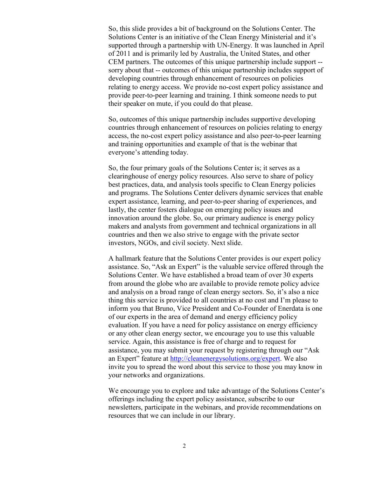So, this slide provides a bit of background on the Solutions Center. The Solutions Center is an initiative of the Clean Energy Ministerial and it's supported through a partnership with UN-Energy. It was launched in April of 2011 and is primarily led by Australia, the United States, and other CEM partners. The outcomes of this unique partnership include support - sorry about that -- outcomes of this unique partnership includes support of developing countries through enhancement of resources on policies relating to energy access. We provide no-cost expert policy assistance and provide peer-to-peer learning and training. I think someone needs to put their speaker on mute, if you could do that please.

So, outcomes of this unique partnership includes supportive developing countries through enhancement of resources on policies relating to energy access, the no-cost expert policy assistance and also peer-to-peer learning and training opportunities and example of that is the webinar that everyone's attending today.

So, the four primary goals of the Solutions Center is; it serves as a clearinghouse of energy policy resources. Also serve to share of policy best practices, data, and analysis tools specific to Clean Energy policies and programs. The Solutions Center delivers dynamic services that enable expert assistance, learning, and peer-to-peer sharing of experiences, and lastly, the center fosters dialogue on emerging policy issues and innovation around the globe. So, our primary audience is energy policy makers and analysts from government and technical organizations in all countries and then we also strive to engage with the private sector investors, NGOs, and civil society. Next slide.

A hallmark feature that the Solutions Center provides is our expert policy assistance. So, "Ask an Expert" is the valuable service offered through the Solutions Center. We have established a broad team of over 30 experts from around the globe who are available to provide remote policy advice and analysis on a broad range of clean energy sectors. So, it's also a nice thing this service is provided to all countries at no cost and I'm please to inform you that Bruno, Vice President and Co-Founder of Enerdata is one of our experts in the area of demand and energy efficiency policy evaluation. If you have a need for policy assistance on energy efficiency or any other clean energy sector, we encourage you to use this valuable service. Again, this assistance is free of charge and to request for assistance, you may submit your request by registering through our "Ask an Expert" feature at [http://cleanenergysolutions.org/expert.](http://cleanenergysolutions.org/expert) We also invite you to spread the word about this service to those you may know in your networks and organizations.

We encourage you to explore and take advantage of the Solutions Center's offerings including the expert policy assistance, subscribe to our newsletters, participate in the webinars, and provide recommendations on resources that we can include in our library.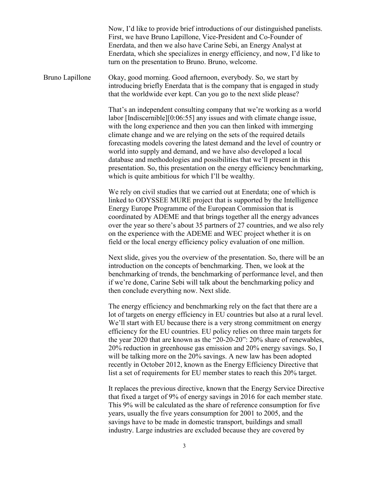Now, I'd like to provide brief introductions of our distinguished panelists. First, we have Bruno Lapillone, Vice-President and Co-Founder of Enerdata, and then we also have Carine Sebi, an Energy Analyst at Enerdata, which she specializes in energy efficiency, and now, I'd like to turn on the presentation to Bruno. Bruno, welcome.

Bruno Lapillone Okay, good morning. Good afternoon, everybody. So, we start by introducing briefly Enerdata that is the company that is engaged in study that the worldwide ever kept. Can you go to the next slide please?

> That's an independent consulting company that we're working as a world labor [Indiscernible][0:06:55] any issues and with climate change issue, with the long experience and then you can then linked with immerging climate change and we are relying on the sets of the required details forecasting models covering the latest demand and the level of country or world into supply and demand, and we have also developed a local database and methodologies and possibilities that we'll present in this presentation. So, this presentation on the energy efficiency benchmarking, which is quite ambitious for which I'll be wealthy.

> We rely on civil studies that we carried out at Enerdata; one of which is linked to ODYSSEE MURE project that is supported by the Intelligence Energy Europe Programme of the European Commission that is coordinated by ADEME and that brings together all the energy advances over the year so there's about 35 partners of 27 countries, and we also rely on the experience with the ADEME and WEC project whether it is on field or the local energy efficiency policy evaluation of one million.

> Next slide, gives you the overview of the presentation. So, there will be an introduction on the concepts of benchmarking. Then, we look at the benchmarking of trends, the benchmarking of performance level, and then if we're done, Carine Sebi will talk about the benchmarking policy and then conclude everything now. Next slide.

> The energy efficiency and benchmarking rely on the fact that there are a lot of targets on energy efficiency in EU countries but also at a rural level. We'll start with EU because there is a very strong commitment on energy efficiency for the EU countries. EU policy relies on three main targets for the year 2020 that are known as the "20-20-20": 20% share of renewables, 20% reduction in greenhouse gas emission and 20% energy savings. So, I will be talking more on the 20% savings. A new law has been adopted recently in October 2012, known as the Energy Efficiency Directive that list a set of requirements for EU member states to reach this 20% target.

> It replaces the previous directive, known that the Energy Service Directive that fixed a target of 9% of energy savings in 2016 for each member state. This 9% will be calculated as the share of reference consumption for five years, usually the five years consumption for 2001 to 2005, and the savings have to be made in domestic transport, buildings and small industry. Large industries are excluded because they are covered by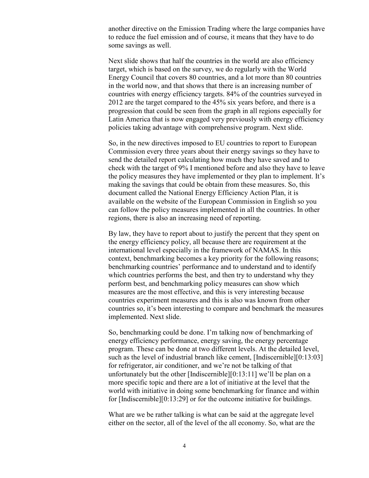another directive on the Emission Trading where the large companies have to reduce the fuel emission and of course, it means that they have to do some savings as well.

Next slide shows that half the countries in the world are also efficiency target, which is based on the survey, we do regularly with the World Energy Council that covers 80 countries, and a lot more than 80 countries in the world now, and that shows that there is an increasing number of countries with energy efficiency targets. 84% of the countries surveyed in 2012 are the target compared to the 45% six years before, and there is a progression that could be seen from the graph in all regions especially for Latin America that is now engaged very previously with energy efficiency policies taking advantage with comprehensive program. Next slide.

So, in the new directives imposed to EU countries to report to European Commission every three years about their energy savings so they have to send the detailed report calculating how much they have saved and to check with the target of 9% I mentioned before and also they have to leave the policy measures they have implemented or they plan to implement. It's making the savings that could be obtain from these measures. So, this document called the National Energy Efficiency Action Plan, it is available on the website of the European Commission in English so you can follow the policy measures implemented in all the countries. In other regions, there is also an increasing need of reporting.

By law, they have to report about to justify the percent that they spent on the energy efficiency policy, all because there are requirement at the international level especially in the framework of NAMAS. In this context, benchmarking becomes a key priority for the following reasons; benchmarking countries' performance and to understand and to identify which countries performs the best, and then try to understand why they perform best, and benchmarking policy measures can show which measures are the most effective, and this is very interesting because countries experiment measures and this is also was known from other countries so, it's been interesting to compare and benchmark the measures implemented. Next slide.

So, benchmarking could be done. I'm talking now of benchmarking of energy efficiency performance, energy saving, the energy percentage program. These can be done at two different levels. At the detailed level, such as the level of industrial branch like cement, [Indiscernible][0:13:03] for refrigerator, air conditioner, and we're not be talking of that unfortunately but the other [Indiscernible][0:13:11] we'll be plan on a more specific topic and there are a lot of initiative at the level that the world with initiative in doing some benchmarking for finance and within for [Indiscernible][0:13:29] or for the outcome initiative for buildings.

What are we be rather talking is what can be said at the aggregate level either on the sector, all of the level of the all economy. So, what are the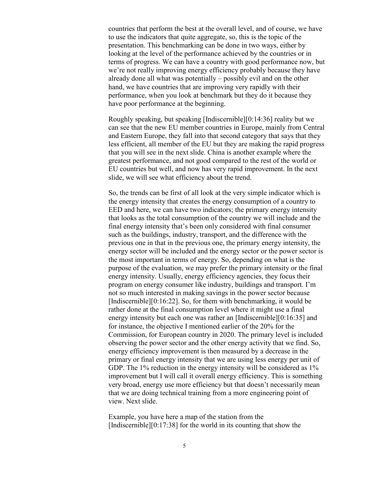countries that perform the best at the overall level, and of course, we have to use the indicators that quite aggregate, so, this is the topic of the presentation. This benchmarking can be done in two ways, either by looking at the level of the performance achieved by the countries or in terms of progress. We can have a country with good performance now, but we're not really improving energy efficiency probably because they have already done all what was potentially – possibly evil and on the other hand, we have countries that are improving very rapidly with their performance, when you look at benchmark but they do it because they have poor performance at the beginning.

Roughly speaking, but speaking [Indiscernible][0:14:36] reality but we can see that the new EU member countries in Europe, mainly from Central and Eastern Europe, they fall into that second category that says that they less efficient, all member of the EU but they are making the rapid progress that you will see in the next slide. China is another example where the greatest performance, and not good compared to the rest of the world or EU countries but well, and now has very rapid improvement. In the next slide, we will see what efficiency about the trend.

So, the trends can be first of all look at the very simple indicator which is the energy intensity that creates the energy consumption of a country to EED and here, we can have two indicators; the primary energy intensity that looks as the total consumption of the country we will include and the final energy intensity that's been only considered with final consumer such as the buildings, industry, transport, and the difference with the previous one in that in the previous one, the primary energy intensity, the energy sector will be included and the energy sector or the power sector is the most important in terms of energy. So, depending on what is the purpose of the evaluation, we may prefer the primary intensity or the final energy intensity. Usually, energy efficiency agencies, they focus their program on energy consumer like industry, buildings and transport. I'm not so much interested in making savings in the power sector because [Indiscernible][0:16:22]. So, for them with benchmarking, it would be rather done at the final consumption level where it might use a final energy intensity but each one was rather an [Indiscernible][0:16:35] and for instance, the objective I mentioned earlier of the 20% for the Commission, for European country in 2020. The primary level is included observing the power sector and the other energy activity that we find. So, energy efficiency improvement is then measured by a decrease in the primary or final energy intensity that we are using less energy per unit of GDP. The 1% reduction in the energy intensity will be considered as 1% improvement but I will call it overall energy efficiency. This is something very broad, energy use more efficiency but that doesn't necessarily mean that we are doing technical training from a more engineering point of view. Next slide.

Example, you have here a map of the station from the [Indiscernible] $[0:17:38]$  for the world in its counting that show the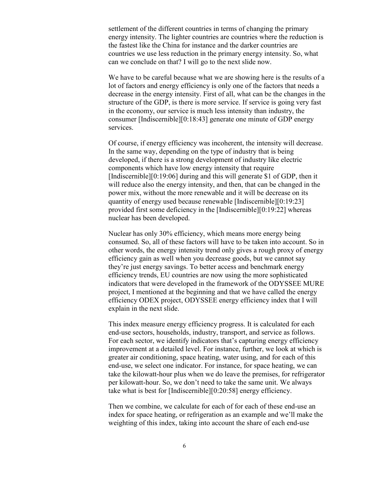settlement of the different countries in terms of changing the primary energy intensity. The lighter countries are countries where the reduction is the fastest like the China for instance and the darker countries are countries we use less reduction in the primary energy intensity. So, what can we conclude on that? I will go to the next slide now.

We have to be careful because what we are showing here is the results of a lot of factors and energy efficiency is only one of the factors that needs a decrease in the energy intensity. First of all, what can be the changes in the structure of the GDP, is there is more service. If service is going very fast in the economy, our service is much less intensity than industry, the consumer [Indiscernible][0:18:43] generate one minute of GDP energy services.

Of course, if energy efficiency was incoherent, the intensity will decrease. In the same way, depending on the type of industry that is being developed, if there is a strong development of industry like electric components which have low energy intensity that require [Indiscernible][0:19:06] during and this will generate \$1 of GDP, then it will reduce also the energy intensity, and then, that can be changed in the power mix, without the more renewable and it will be decrease on its quantity of energy used because renewable [Indiscernible][0:19:23] provided first some deficiency in the [Indiscernible][0:19:22] whereas nuclear has been developed.

Nuclear has only 30% efficiency, which means more energy being consumed. So, all of these factors will have to be taken into account. So in other words, the energy intensity trend only gives a rough proxy of energy efficiency gain as well when you decrease goods, but we cannot say they're just energy savings. To better access and benchmark energy efficiency trends, EU countries are now using the more sophisticated indicators that were developed in the framework of the ODYSSEE MURE project, I mentioned at the beginning and that we have called the energy efficiency ODEX project, ODYSSEE energy efficiency index that I will explain in the next slide.

This index measure energy efficiency progress. It is calculated for each end-use sectors, households, industry, transport, and service as follows. For each sector, we identify indicators that's capturing energy efficiency improvement at a detailed level. For instance, further, we look at which is greater air conditioning, space heating, water using, and for each of this end-use, we select one indicator. For instance, for space heating, we can take the kilowatt-hour plus when we do leave the premises, for refrigerator per kilowatt-hour. So, we don't need to take the same unit. We always take what is best for [Indiscernible][0:20:58] energy efficiency.

Then we combine, we calculate for each of for each of these end-use an index for space heating, or refrigeration as an example and we'll make the weighting of this index, taking into account the share of each end-use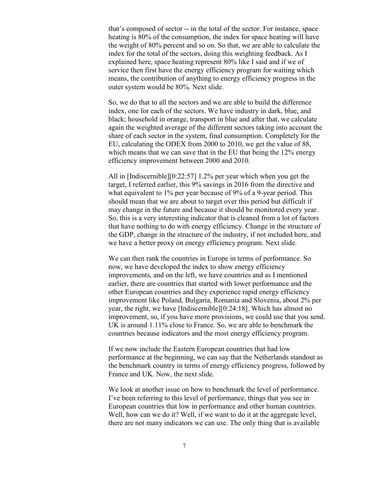that's composed of sector -- in the total of the sector. For instance, space heating is 80% of the consumption, the index for space heating will have the weight of 80% percent and so on. So that, we are able to calculate the index for the total of the sectors, doing this weighting feedback. As I explained here, space heating represent 80% like I said and if we of service then first have the energy efficiency program for waiting which means, the contribution of anything to energy efficiency progress in the outer system would be 80%. Next slide.

So, we do that to all the sectors and we are able to build the difference index, one for each of the sectors. We have industry in dark, blue, and black; household in orange, transport in blue and after that, we calculate again the weighted average of the different sectors taking into account the share of each sector in the system, final consumption. Completely for the EU, calculating the ODEX from 2000 to 2010, we get the value of 88, which means that we can save that in the EU that being the 12% energy efficiency improvement between 2000 and 2010.

All in [Indiscernible][0:22:57] 1.2% per year which when you get the target, I referred earlier, this 9% savings in 2016 from the directive and what equivalent to 1% per year because of 9% of a 9-year period. This should mean that we are about to target over this period but difficult if may change in the future and because it should be monitored every year. So, this is a very interesting indicator that is cleaned from a lot of factors that have nothing to do with energy efficiency. Change in the structure of the GDP, change in the structure of the industry, if not included here, and we have a better proxy on energy efficiency program. Next slide.

We can then rank the countries in Europe in terms of performance. So now, we have developed the index to show energy efficiency improvements, and on the left, we have countries and as I mentioned earlier, there are countries that started with lower performance and the other European countries and they experience rapid energy efficiency improvement like Poland, Bulgaria, Romania and Slovenia, about 2% per year, the right, we have [Indiscernible][0:24:18]. Which has almost no improvement, so, if you have more provisions, we could use that you send. UK is around 1.11% close to France. So, we are able to benchmark the countries because indicators and the most energy efficiency program.

If we now include the Eastern European countries that had low performance at the beginning, we can say that the Netherlands standout as the benchmark country in terms of energy efficiency progress, followed by France and UK. Now, the next slide.

We look at another issue on how to benchmark the level of performance. I've been referring to this level of performance, things that you see in European countries that low in performance and other human countries. Well, how can we do it? Well, if we want to do it at the aggregate level, there are not many indicators we can use. The only thing that is available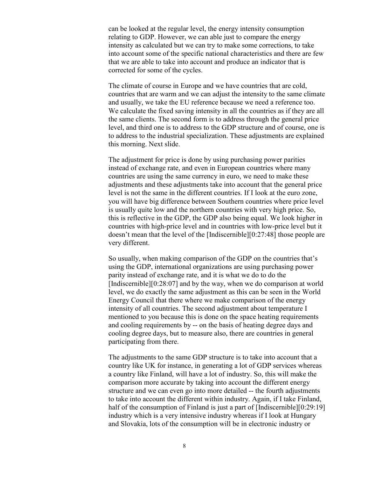can be looked at the regular level, the energy intensity consumption relating to GDP. However, we can able just to compare the energy intensity as calculated but we can try to make some corrections, to take into account some of the specific national characteristics and there are few that we are able to take into account and produce an indicator that is corrected for some of the cycles.

The climate of course in Europe and we have countries that are cold, countries that are warm and we can adjust the intensity to the same climate and usually, we take the EU reference because we need a reference too. We calculate the fixed saving intensity in all the countries as if they are all the same clients. The second form is to address through the general price level, and third one is to address to the GDP structure and of course, one is to address to the industrial specialization. These adjustments are explained this morning. Next slide.

The adjustment for price is done by using purchasing power parities instead of exchange rate, and even in European countries where many countries are using the same currency in euro, we need to make these adjustments and these adjustments take into account that the general price level is not the same in the different countries. If I look at the euro zone, you will have big difference between Southern countries where price level is usually quite low and the northern countries with very high price. So, this is reflective in the GDP, the GDP also being equal. We look higher in countries with high-price level and in countries with low-price level but it doesn't mean that the level of the [Indiscernible][0:27:48] those people are very different.

So usually, when making comparison of the GDP on the countries that's using the GDP, international organizations are using purchasing power parity instead of exchange rate, and it is what we do to do the [Indiscernible][0:28:07] and by the way, when we do comparison at world level, we do exactly the same adjustment as this can be seen in the World Energy Council that there where we make comparison of the energy intensity of all countries. The second adjustment about temperature I mentioned to you because this is done on the space heating requirements and cooling requirements by -- on the basis of heating degree days and cooling degree days, but to measure also, there are countries in general participating from there.

The adjustments to the same GDP structure is to take into account that a country like UK for instance, in generating a lot of GDP services whereas a country like Finland, will have a lot of industry. So, this will make the comparison more accurate by taking into account the different energy structure and we can even go into more detailed -- the fourth adjustments to take into account the different within industry. Again, if I take Finland, half of the consumption of Finland is just a part of [Indiscernible][0:29:19] industry which is a very intensive industry whereas if I look at Hungary and Slovakia, lots of the consumption will be in electronic industry or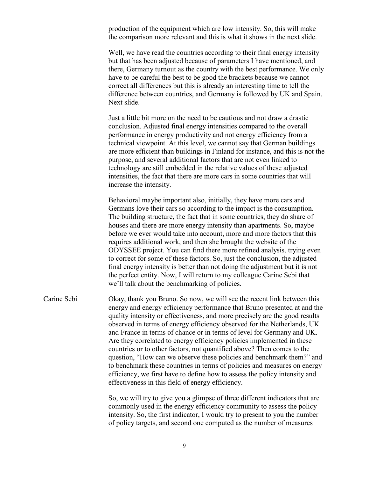production of the equipment which are low intensity. So, this will make the comparison more relevant and this is what it shows in the next slide.

Well, we have read the countries according to their final energy intensity but that has been adjusted because of parameters I have mentioned, and there, Germany turnout as the country with the best performance. We only have to be careful the best to be good the brackets because we cannot correct all differences but this is already an interesting time to tell the difference between countries, and Germany is followed by UK and Spain. Next slide.

Just a little bit more on the need to be cautious and not draw a drastic conclusion. Adjusted final energy intensities compared to the overall performance in energy productivity and not energy efficiency from a technical viewpoint. At this level, we cannot say that German buildings are more efficient than buildings in Finland for instance, and this is not the purpose, and several additional factors that are not even linked to technology are still embedded in the relative values of these adjusted intensities, the fact that there are more cars in some countries that will increase the intensity.

Behavioral maybe important also, initially, they have more cars and Germans love their cars so according to the impact is the consumption. The building structure, the fact that in some countries, they do share of houses and there are more energy intensity than apartments. So, maybe before we ever would take into account, more and more factors that this requires additional work, and then she brought the website of the ODYSSEE project. You can find there more refined analysis, trying even to correct for some of these factors. So, just the conclusion, the adjusted final energy intensity is better than not doing the adjustment but it is not the perfect entity. Now, I will return to my colleague Carine Sebi that we'll talk about the benchmarking of policies.

Carine Sebi Okay, thank you Bruno. So now, we will see the recent link between this energy and energy efficiency performance that Bruno presented at and the quality intensity or effectiveness, and more precisely are the good results observed in terms of energy efficiency observed for the Netherlands, UK and France in terms of chance or in terms of level for Germany and UK. Are they correlated to energy efficiency policies implemented in these countries or to other factors, not quantified above? Then comes to the question, "How can we observe these policies and benchmark them?" and to benchmark these countries in terms of policies and measures on energy efficiency, we first have to define how to assess the policy intensity and effectiveness in this field of energy efficiency.

> So, we will try to give you a glimpse of three different indicators that are commonly used in the energy efficiency community to assess the policy intensity. So, the first indicator, I would try to present to you the number of policy targets, and second one computed as the number of measures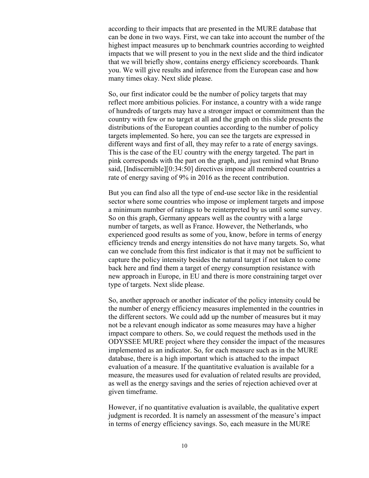according to their impacts that are presented in the MURE database that can be done in two ways. First, we can take into account the number of the highest impact measures up to benchmark countries according to weighted impacts that we will present to you in the next slide and the third indicator that we will briefly show, contains energy efficiency scoreboards. Thank you. We will give results and inference from the European case and how many times okay. Next slide please.

So, our first indicator could be the number of policy targets that may reflect more ambitious policies. For instance, a country with a wide range of hundreds of targets may have a stronger impact or commitment than the country with few or no target at all and the graph on this slide presents the distributions of the European counties according to the number of policy targets implemented. So here, you can see the targets are expressed in different ways and first of all, they may refer to a rate of energy savings. This is the case of the EU country with the energy targeted. The part in pink corresponds with the part on the graph, and just remind what Bruno said, [Indiscernible][0:34:50] directives impose all membered countries a rate of energy saving of 9% in 2016 as the recent contribution.

But you can find also all the type of end-use sector like in the residential sector where some countries who impose or implement targets and impose a minimum number of ratings to be reinterpreted by us until some survey. So on this graph, Germany appears well as the country with a large number of targets, as well as France. However, the Netherlands, who experienced good results as some of you, know, before in terms of energy efficiency trends and energy intensities do not have many targets. So, what can we conclude from this first indicator is that it may not be sufficient to capture the policy intensity besides the natural target if not taken to come back here and find them a target of energy consumption resistance with new approach in Europe, in EU and there is more constraining target over type of targets. Next slide please.

So, another approach or another indicator of the policy intensity could be the number of energy efficiency measures implemented in the countries in the different sectors. We could add up the number of measures but it may not be a relevant enough indicator as some measures may have a higher impact compare to others. So, we could request the methods used in the ODYSSEE MURE project where they consider the impact of the measures implemented as an indicator. So, for each measure such as in the MURE database, there is a high important which is attached to the impact evaluation of a measure. If the quantitative evaluation is available for a measure, the measures used for evaluation of related results are provided, as well as the energy savings and the series of rejection achieved over at given timeframe.

However, if no quantitative evaluation is available, the qualitative expert judgment is recorded. It is namely an assessment of the measure's impact in terms of energy efficiency savings. So, each measure in the MURE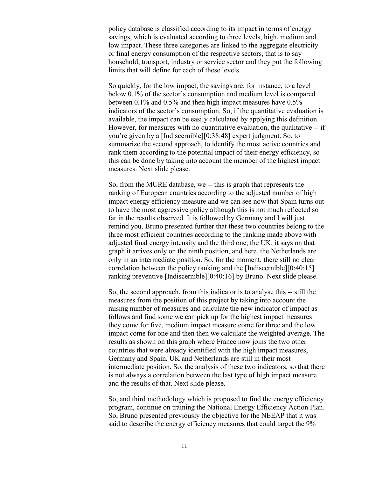policy database is classified according to its impact in terms of energy savings, which is evaluated according to three levels, high, medium and low impact. These three categories are linked to the aggregate electricity or final energy consumption of the respective sectors, that is to say household, transport, industry or service sector and they put the following limits that will define for each of these levels.

So quickly, for the low impact, the savings are; for instance, to a level below 0.1% of the sector's consumption and medium level is compared between 0.1% and 0.5% and then high impact measures have 0.5% indicators of the sector's consumption. So, if the quantitative evaluation is available, the impact can be easily calculated by applying this definition. However, for measures with no quantitative evaluation, the qualitative -- if you're given by a [Indiscernible][0:38:48] expert judgment. So, to summarize the second approach, to identify the most active countries and rank them according to the potential impact of their energy efficiency, so this can be done by taking into account the member of the highest impact measures. Next slide please.

So, from the MURE database, we -- this is graph that represents the ranking of European countries according to the adjusted number of high impact energy efficiency measure and we can see now that Spain turns out to have the most aggressive policy although this is not much reflected so far in the results observed. It is followed by Germany and I will just remind you, Bruno presented further that these two countries belong to the three most efficient countries according to the ranking made above with adjusted final energy intensity and the third one, the UK, it says on that graph it arrives only on the ninth position, and here, the Netherlands are only in an intermediate position. So, for the moment, there still no clear correlation between the policy ranking and the [Indiscernible][0:40:15] ranking preventive [Indiscernible][0:40:16] by Bruno. Next slide please.

So, the second approach, from this indicator is to analyse this -- still the measures from the position of this project by taking into account the raising number of measures and calculate the new indicator of impact as follows and find some we can pick up for the highest impact measures they come for five, medium impact measure come for three and the low impact come for one and then then we calculate the weighted average. The results as shown on this graph where France now joins the two other countries that were already identified with the high impact measures, Germany and Spain. UK and Netherlands are still in their most intermediate position. So, the analysis of these two indicators, so that there is not always a correlation between the last type of high impact measure and the results of that. Next slide please.

So, and third methodology which is proposed to find the energy efficiency program, continue on training the National Energy Efficiency Action Plan. So, Bruno presented previously the objective for the NEEAP that it was said to describe the energy efficiency measures that could target the 9%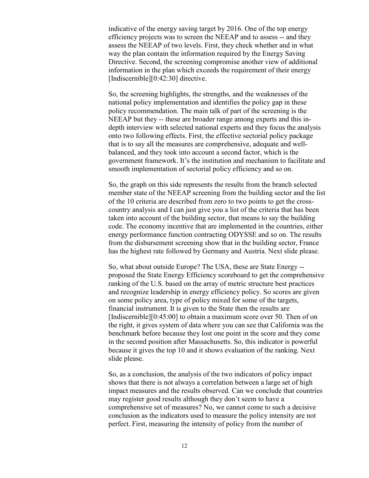indicative of the energy saving target by 2016. One of the top energy efficiency projects was to screen the NEEAP and to assess -- and they assess the NEEAP of two levels. First, they check whether and in what way the plan contain the information required by the Energy Saving Directive. Second, the screening compromise another view of additional information in the plan which exceeds the requirement of their energy [Indiscernible][0:42:30] directive.

So, the screening highlights, the strengths, and the weaknesses of the national policy implementation and identifies the policy gap in these policy recommendation. The main talk of part of the screening is the NEEAP but they -- these are broader range among experts and this indepth interview with selected national experts and they focus the analysis onto two following effects. First, the effective sectorial policy package that is to say all the measures are comprehensive, adequate and wellbalanced, and they took into account a second factor, which is the government framework. It's the institution and mechanism to facilitate and smooth implementation of sectorial policy efficiency and so on.

So, the graph on this side represents the results from the branch selected member state of the NEEAP screening from the building sector and the list of the 10 criteria are described from zero to two points to get the crosscountry analysis and I can just give you a list of the criteria that has been taken into account of the building sector, that means to say the building code. The economy incentive that are implemented in the countries, either energy performance function contracting ODYSSE and so on. The results from the disbursement screening show that in the building sector, France has the highest rate followed by Germany and Austria. Next slide please.

So, what about outside Europe? The USA, these are State Energy - proposed the State Energy Efficiency scoreboard to get the comprehensive ranking of the U.S. based on the array of metric structure best practices and recognize leadership in energy efficiency policy. So scores are given on some policy area, type of policy mixed for some of the targets, financial instrument. It is given to the State then the results are [Indiscernible][0:45:00] to obtain a maximum score over 50. Then of on the right, it gives system of data where you can see that California was the benchmark before because they lost one point in the score and they come in the second position after Massachusetts. So, this indicator is powerful because it gives the top 10 and it shows evaluation of the ranking. Next slide please.

So, as a conclusion, the analysis of the two indicators of policy impact shows that there is not always a correlation between a large set of high impact measures and the results observed. Can we conclude that countries may register good results although they don't seem to have a comprehensive set of measures? No, we cannot come to such a decisive conclusion as the indicators used to measure the policy intensity are not perfect. First, measuring the intensity of policy from the number of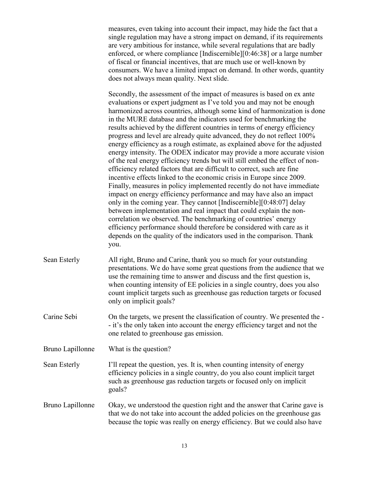measures, even taking into account their impact, may hide the fact that a single regulation may have a strong impact on demand, if its requirements are very ambitious for instance, while several regulations that are badly enforced, or where compliance [Indiscernible][0:46:38] or a large number of fiscal or financial incentives, that are much use or well-known by consumers. We have a limited impact on demand. In other words, quantity does not always mean quality. Next slide.

Secondly, the assessment of the impact of measures is based on ex ante evaluations or expert judgment as I've told you and may not be enough harmonized across countries, although some kind of harmonization is done in the MURE database and the indicators used for benchmarking the results achieved by the different countries in terms of energy efficiency progress and level are already quite advanced, they do not reflect 100% energy efficiency as a rough estimate, as explained above for the adjusted energy intensity. The ODEX indicator may provide a more accurate vision of the real energy efficiency trends but will still embed the effect of nonefficiency related factors that are difficult to correct, such are fine incentive effects linked to the economic crisis in Europe since 2009. Finally, measures in policy implemented recently do not have immediate impact on energy efficiency performance and may have also an impact only in the coming year. They cannot [Indiscernible][0:48:07] delay between implementation and real impact that could explain the noncorrelation we observed. The benchmarking of countries' energy efficiency performance should therefore be considered with care as it depends on the quality of the indicators used in the comparison. Thank you.

- Sean Esterly All right, Bruno and Carine, thank you so much for your outstanding presentations. We do have some great questions from the audience that we use the remaining time to answer and discuss and the first question is, when counting intensity of EE policies in a single country, does you also count implicit targets such as greenhouse gas reduction targets or focused only on implicit goals?
- Carine Sebi On the targets, we present the classification of country. We presented the - it's the only taken into account the energy efficiency target and not the one related to greenhouse gas emission.
- Bruno Lapillonne What is the question?

Sean Esterly I'll repeat the question, yes. It is, when counting intensity of energy efficiency policies in a single country, do you also count implicit target such as greenhouse gas reduction targets or focused only on implicit goals?

Bruno Lapillonne Okay, we understood the question right and the answer that Carine gave is that we do not take into account the added policies on the greenhouse gas because the topic was really on energy efficiency. But we could also have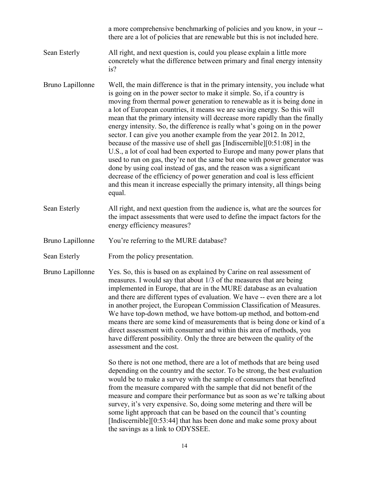|                  | a more comprehensive benchmarking of policies and you know, in your --<br>there are a lot of policies that are renewable but this is not included here.                                                                                                                                                                                                                                                                                                                                                                                                                                                                                                                                                                                                                                                                                                                                                                                                                                                                                   |
|------------------|-------------------------------------------------------------------------------------------------------------------------------------------------------------------------------------------------------------------------------------------------------------------------------------------------------------------------------------------------------------------------------------------------------------------------------------------------------------------------------------------------------------------------------------------------------------------------------------------------------------------------------------------------------------------------------------------------------------------------------------------------------------------------------------------------------------------------------------------------------------------------------------------------------------------------------------------------------------------------------------------------------------------------------------------|
| Sean Esterly     | All right, and next question is, could you please explain a little more<br>concretely what the difference between primary and final energy intensity<br>is?                                                                                                                                                                                                                                                                                                                                                                                                                                                                                                                                                                                                                                                                                                                                                                                                                                                                               |
| Bruno Lapillonne | Well, the main difference is that in the primary intensity, you include what<br>is going on in the power sector to make it simple. So, if a country is<br>moving from thermal power generation to renewable as it is being done in<br>a lot of European countries, it means we are saving energy. So this will<br>mean that the primary intensity will decrease more rapidly than the finally<br>energy intensity. So, the difference is really what's going on in the power<br>sector. I can give you another example from the year 2012. In 2012,<br>because of the massive use of shell gas [Indiscernible] $[0:51:08]$ in the<br>U.S., a lot of coal had been exported to Europe and many power plans that<br>used to run on gas, they're not the same but one with power generator was<br>done by using coal instead of gas, and the reason was a significant<br>decrease of the efficiency of power generation and coal is less efficient<br>and this mean it increase especially the primary intensity, all things being<br>equal. |
| Sean Esterly     | All right, and next question from the audience is, what are the sources for<br>the impact assessments that were used to define the impact factors for the<br>energy efficiency measures?                                                                                                                                                                                                                                                                                                                                                                                                                                                                                                                                                                                                                                                                                                                                                                                                                                                  |
| Bruno Lapillonne | You're referring to the MURE database?                                                                                                                                                                                                                                                                                                                                                                                                                                                                                                                                                                                                                                                                                                                                                                                                                                                                                                                                                                                                    |
| Sean Esterly     | From the policy presentation.                                                                                                                                                                                                                                                                                                                                                                                                                                                                                                                                                                                                                                                                                                                                                                                                                                                                                                                                                                                                             |
| Bruno Lapillonne | Yes. So, this is based on as explained by Carine on real assessment of<br>measures. I would say that about 1/3 of the measures that are being<br>implemented in Europe, that are in the MURE database as an evaluation<br>and there are different types of evaluation. We have -- even there are a lot<br>in another project, the European Commission Classification of Measures.<br>We have top-down method, we have bottom-up method, and bottom-end<br>means there are some kind of measurements that is being done or kind of a<br>direct assessment with consumer and within this area of methods, you<br>have different possibility. Only the three are between the quality of the<br>assessment and the cost.                                                                                                                                                                                                                                                                                                                      |
|                  | So there is not one method, there are a lot of methods that are being used<br>depending on the country and the sector. To be strong, the best evaluation<br>would be to make a survey with the sample of consumers that benefited<br>from the measure compared with the sample that did not benefit of the<br>measure and compare their performance but as soon as we're talking about<br>survey, it's very expensive. So, doing some metering and there will be<br>some light approach that can be based on the council that's counting<br>[Indiscernible] $[0:53:44]$ that has been done and make some proxy about<br>the savings as a link to ODYSSEE.                                                                                                                                                                                                                                                                                                                                                                                 |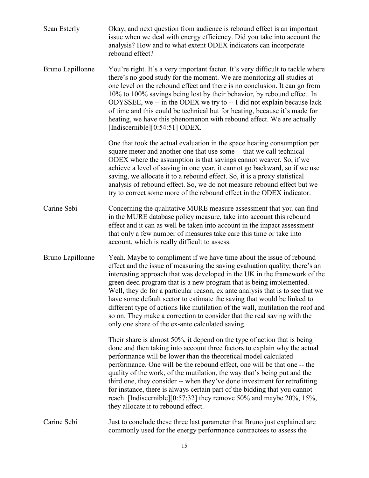| Sean Esterly     | Okay, and next question from audience is rebound effect is an important<br>issue when we deal with energy efficiency. Did you take into account the<br>analysis? How and to what extent ODEX indicators can incorporate<br>rebound effect?                                                                                                                                                                                                                                                                                                                                                                                                                                            |
|------------------|---------------------------------------------------------------------------------------------------------------------------------------------------------------------------------------------------------------------------------------------------------------------------------------------------------------------------------------------------------------------------------------------------------------------------------------------------------------------------------------------------------------------------------------------------------------------------------------------------------------------------------------------------------------------------------------|
| Bruno Lapillonne | You're right. It's a very important factor. It's very difficult to tackle where<br>there's no good study for the moment. We are monitoring all studies at<br>one level on the rebound effect and there is no conclusion. It can go from<br>10% to 100% savings being lost by their behavior, by rebound effect. In<br>ODYSSEE, we -- in the ODEX we try to -- I did not explain because lack<br>of time and this could be technical but for heating, because it's made for<br>heating, we have this phenomenon with rebound effect. We are actually<br>[Indiscernible][ $0:54:51$ ] ODEX.                                                                                             |
|                  | One that took the actual evaluation in the space heating consumption per<br>square meter and another one that use some -- that we call technical<br>ODEX where the assumption is that savings cannot weaver. So, if we<br>achieve a level of saving in one year, it cannot go backward, so if we use<br>saving, we allocate it to a rebound effect. So, it is a proxy statistical<br>analysis of rebound effect. So, we do not measure rebound effect but we<br>try to correct some more of the rebound effect in the ODEX indicator.                                                                                                                                                 |
| Carine Sebi      | Concerning the qualitative MURE measure assessment that you can find<br>in the MURE database policy measure, take into account this rebound<br>effect and it can as well be taken into account in the impact assessment<br>that only a few number of measures take care this time or take into<br>account, which is really difficult to assess.                                                                                                                                                                                                                                                                                                                                       |
| Bruno Lapillonne | Yeah. Maybe to compliment if we have time about the issue of rebound<br>effect and the issue of measuring the saving evaluation quality; there's an<br>interesting approach that was developed in the UK in the framework of the<br>green deed program that is a new program that is being implemented.<br>Well, they do for a particular reason, ex ante analysis that is to see that we<br>have some default sector to estimate the saving that would be linked to<br>different type of actions like mutilation of the wall, mutilation the roof and<br>so on. They make a correction to consider that the real saving with the<br>only one share of the ex-ante calculated saving. |
|                  | Their share is almost 50%, it depend on the type of action that is being<br>done and then taking into account three factors to explain why the actual<br>performance will be lower than the theoretical model calculated<br>performance. One will be the rebound effect, one will be that one -- the<br>quality of the work, of the mutilation, the way that's being put and the<br>third one, they consider -- when they've done investment for retrofitting<br>for instance, there is always certain part of the bidding that you cannot<br>reach. [Indiscernible][0:57:32] they remove 50% and maybe 20%, 15%,<br>they allocate it to rebound effect.                              |
| Carine Sebi      | Just to conclude these three last parameter that Bruno just explained are<br>commonly used for the energy performance contractees to assess the                                                                                                                                                                                                                                                                                                                                                                                                                                                                                                                                       |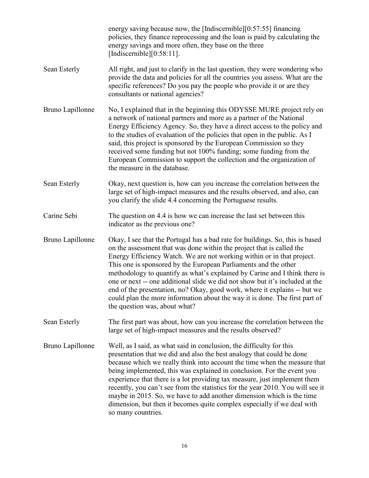|                  | energy saving because now, the [Indiscernible] $[0.57:55]$ financing<br>policies, they finance reprocessing and the loan is paid by calculating the<br>energy savings and more often, they base on the three<br>[Indiscernible] $[0:58:11]$ .                                                                                                                                                                                                                                                                                                                                                                                                                  |
|------------------|----------------------------------------------------------------------------------------------------------------------------------------------------------------------------------------------------------------------------------------------------------------------------------------------------------------------------------------------------------------------------------------------------------------------------------------------------------------------------------------------------------------------------------------------------------------------------------------------------------------------------------------------------------------|
| Sean Esterly     | All right, and just to clarify in the last question, they were wondering who<br>provide the data and policies for all the countries you assess. What are the<br>specific references? Do you pay the people who provide it or are they<br>consultants or national agencies?                                                                                                                                                                                                                                                                                                                                                                                     |
| Bruno Lapillonne | No, I explained that in the beginning this ODYSSE MURE project rely on<br>a network of national partners and more as a partner of the National<br>Energy Efficiency Agency. So, they have a direct access to the policy and<br>to the studies of evaluation of the policies that open in the public. As I<br>said, this project is sponsored by the European Commission so they<br>received some funding but not 100% funding; some funding from the<br>European Commission to support the collection and the organization of<br>the measure in the database.                                                                                                  |
| Sean Esterly     | Okay, next question is, how can you increase the correlation between the<br>large set of high-impact measures and the results observed, and also, can<br>you clarify the slide 4.4 concerning the Portuguese results.                                                                                                                                                                                                                                                                                                                                                                                                                                          |
| Carine Sebi      | The question on 4.4 is how we can increase the last set between this<br>indicator as the previous one?                                                                                                                                                                                                                                                                                                                                                                                                                                                                                                                                                         |
| Bruno Lapillonne | Okay, I see that the Portugal has a bad rate for buildings. So, this is based<br>on the assessment that was done within the project that is called the<br>Energy Efficiency Watch. We are not working within or in that project.<br>This one is sponsored by the European Parliaments and the other<br>methodology to quantify as what's explained by Carine and I think there is<br>one or next -- one additional slide we did not show but it's included at the<br>end of the presentation, no? Okay, good work, where it explains -- but we<br>could plan the more information about the way it is done. The first part of<br>the question was, about what? |
| Sean Esterly     | The first part was about, how can you increase the correlation between the<br>large set of high-impact measures and the results observed?                                                                                                                                                                                                                                                                                                                                                                                                                                                                                                                      |
| Bruno Lapillonne | Well, as I said, as what said in conclusion, the difficulty for this<br>presentation that we did and also the best analogy that could be done<br>because which we really think into account the time when the measure that<br>being implemented, this was explained in conclusion. For the event you<br>experience that there is a lot providing tax measure, just implement them<br>recently, you can't see from the statistics for the year 2010. You will see it<br>maybe in 2015. So, we have to add another dimension which is the time<br>dimension, but then it becomes quite complex especially if we deal with<br>so many countries.                  |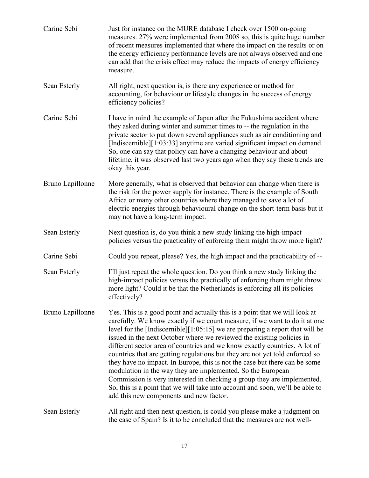| Carine Sebi      | Just for instance on the MURE database I check over 1500 on-going<br>measures. 27% were implemented from 2008 so, this is quite huge number<br>of recent measures implemented that where the impact on the results or on<br>the energy efficiency performance levels are not always observed and one<br>can add that the crisis effect may reduce the impacts of energy efficiency<br>measure.                                                                                                                                                                                                                                                                                                                                                                                                                                        |
|------------------|---------------------------------------------------------------------------------------------------------------------------------------------------------------------------------------------------------------------------------------------------------------------------------------------------------------------------------------------------------------------------------------------------------------------------------------------------------------------------------------------------------------------------------------------------------------------------------------------------------------------------------------------------------------------------------------------------------------------------------------------------------------------------------------------------------------------------------------|
| Sean Esterly     | All right, next question is, is there any experience or method for<br>accounting, for behaviour or lifestyle changes in the success of energy<br>efficiency policies?                                                                                                                                                                                                                                                                                                                                                                                                                                                                                                                                                                                                                                                                 |
| Carine Sebi      | I have in mind the example of Japan after the Fukushima accident where<br>they asked during winter and summer times to -- the regulation in the<br>private sector to put down several appliances such as air conditioning and<br>[Indiscernible][1:03:33] anytime are varied significant impact on demand.<br>So, one can say that policy can have a changing behaviour and about<br>lifetime, it was observed last two years ago when they say these trends are<br>okay this year.                                                                                                                                                                                                                                                                                                                                                   |
| Bruno Lapillonne | More generally, what is observed that behavior can change when there is<br>the risk for the power supply for instance. There is the example of South<br>Africa or many other countries where they managed to save a lot of<br>electric energies through behavioural change on the short-term basis but it<br>may not have a long-term impact.                                                                                                                                                                                                                                                                                                                                                                                                                                                                                         |
| Sean Esterly     | Next question is, do you think a new study linking the high-impact<br>policies versus the practicality of enforcing them might throw more light?                                                                                                                                                                                                                                                                                                                                                                                                                                                                                                                                                                                                                                                                                      |
| Carine Sebi      | Could you repeat, please? Yes, the high impact and the practicability of --                                                                                                                                                                                                                                                                                                                                                                                                                                                                                                                                                                                                                                                                                                                                                           |
| Sean Esterly     | I'll just repeat the whole question. Do you think a new study linking the<br>high-impact policies versus the practically of enforcing them might throw<br>more light? Could it be that the Netherlands is enforcing all its policies<br>effectively?                                                                                                                                                                                                                                                                                                                                                                                                                                                                                                                                                                                  |
| Bruno Lapillonne | Yes. This is a good point and actually this is a point that we will look at<br>carefully. We know exactly if we count measure, if we want to do it at one<br>level for the [Indiscernible][1:05:15] we are preparing a report that will be<br>issued in the next October where we reviewed the existing policies in<br>different sector area of countries and we know exactly countries. A lot of<br>countries that are getting regulations but they are not yet told enforced so<br>they have no impact. In Europe, this is not the case but there can be some<br>modulation in the way they are implemented. So the European<br>Commission is very interested in checking a group they are implemented.<br>So, this is a point that we will take into account and soon, we'll be able to<br>add this new components and new factor. |
| Sean Esterly     | All right and then next question, is could you please make a judgment on<br>the case of Spain? Is it to be concluded that the measures are not well-                                                                                                                                                                                                                                                                                                                                                                                                                                                                                                                                                                                                                                                                                  |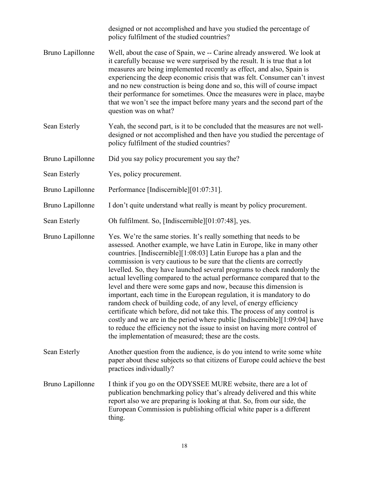|                  | designed or not accomplished and have you studied the percentage of<br>policy fulfilment of the studied countries?                                                                                                                                                                                                                                                                                                                                                                                                                                                                                                                                                                                                                                                                                                                                                                                                                                                         |
|------------------|----------------------------------------------------------------------------------------------------------------------------------------------------------------------------------------------------------------------------------------------------------------------------------------------------------------------------------------------------------------------------------------------------------------------------------------------------------------------------------------------------------------------------------------------------------------------------------------------------------------------------------------------------------------------------------------------------------------------------------------------------------------------------------------------------------------------------------------------------------------------------------------------------------------------------------------------------------------------------|
| Bruno Lapillonne | Well, about the case of Spain, we -- Carine already answered. We look at<br>it carefully because we were surprised by the result. It is true that a lot<br>measures are being implemented recently as effect, and also, Spain is<br>experiencing the deep economic crisis that was felt. Consumer can't invest<br>and no new construction is being done and so, this will of course impact<br>their performance for sometimes. Once the measures were in place, maybe<br>that we won't see the impact before many years and the second part of the<br>question was on what?                                                                                                                                                                                                                                                                                                                                                                                                |
| Sean Esterly     | Yeah, the second part, is it to be concluded that the measures are not well-<br>designed or not accomplished and then have you studied the percentage of<br>policy fulfilment of the studied countries?                                                                                                                                                                                                                                                                                                                                                                                                                                                                                                                                                                                                                                                                                                                                                                    |
| Bruno Lapillonne | Did you say policy procurement you say the?                                                                                                                                                                                                                                                                                                                                                                                                                                                                                                                                                                                                                                                                                                                                                                                                                                                                                                                                |
| Sean Esterly     | Yes, policy procurement.                                                                                                                                                                                                                                                                                                                                                                                                                                                                                                                                                                                                                                                                                                                                                                                                                                                                                                                                                   |
| Bruno Lapillonne | Performance [Indiscernible][01:07:31].                                                                                                                                                                                                                                                                                                                                                                                                                                                                                                                                                                                                                                                                                                                                                                                                                                                                                                                                     |
| Bruno Lapillonne | I don't quite understand what really is meant by policy procurement.                                                                                                                                                                                                                                                                                                                                                                                                                                                                                                                                                                                                                                                                                                                                                                                                                                                                                                       |
| Sean Esterly     | Oh fulfilment. So, [Indiscernible][01:07:48], yes.                                                                                                                                                                                                                                                                                                                                                                                                                                                                                                                                                                                                                                                                                                                                                                                                                                                                                                                         |
| Bruno Lapillonne | Yes. We're the same stories. It's really something that needs to be<br>assessed. Another example, we have Latin in Europe, like in many other<br>countries. [Indiscernible][1:08:03] Latin Europe has a plan and the<br>commission is very cautious to be sure that the clients are correctly<br>levelled. So, they have launched several programs to check randomly the<br>actual levelling compared to the actual performance compared that to the<br>level and there were some gaps and now, because this dimension is<br>important, each time in the European regulation, it is mandatory to do<br>random check of building code, of any level, of energy efficiency<br>certificate which before, did not take this. The process of any control is<br>costly and we are in the period where public [Indiscernible][1:09:04] have<br>to reduce the efficiency not the issue to insist on having more control of<br>the implementation of measured; these are the costs. |
| Sean Esterly     | Another question from the audience, is do you intend to write some white<br>paper about these subjects so that citizens of Europe could achieve the best<br>practices individually?                                                                                                                                                                                                                                                                                                                                                                                                                                                                                                                                                                                                                                                                                                                                                                                        |
| Bruno Lapillonne | I think if you go on the ODYSSEE MURE website, there are a lot of<br>publication benchmarking policy that's already delivered and this white<br>report also we are preparing is looking at that. So, from our side, the<br>European Commission is publishing official white paper is a different<br>thing.                                                                                                                                                                                                                                                                                                                                                                                                                                                                                                                                                                                                                                                                 |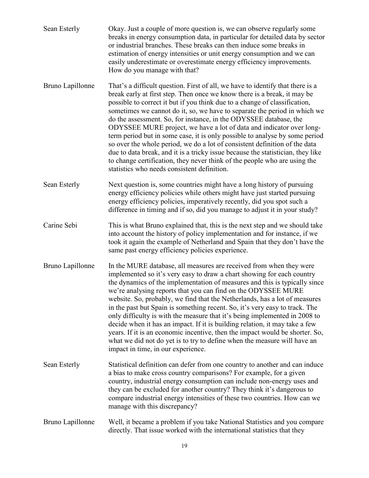- Sean Esterly Okay. Just a couple of more question is, we can observe regularly some breaks in energy consumption data, in particular for detailed data by sector or industrial branches. These breaks can then induce some breaks in estimation of energy intensities or unit energy consumption and we can easily underestimate or overestimate energy efficiency improvements. How do you manage with that?
- Bruno Lapillonne That's a difficult question. First of all, we have to identify that there is a break early at first step. Then once we know there is a break, it may be possible to correct it but if you think due to a change of classification, sometimes we cannot do it, so, we have to separate the period in which we do the assessment. So, for instance, in the ODYSSEE database, the ODYSSEE MURE project, we have a lot of data and indicator over longterm period but in some case, it is only possible to analyse by some period so over the whole period, we do a lot of consistent definition of the data due to data break, and it is a tricky issue because the statistician, they like to change certification, they never think of the people who are using the statistics who needs consistent definition.
- Sean Esterly Next question is, some countries might have a long history of pursuing energy efficiency policies while others might have just started pursuing energy efficiency policies, imperatively recently, did you spot such a difference in timing and if so, did you manage to adjust it in your study?
- Carine Sebi This is what Bruno explained that, this is the next step and we should take into account the history of policy implementation and for instance, if we took it again the example of Netherland and Spain that they don't have the same past energy efficiency policies experience.
- Bruno Lapillonne In the MURE database, all measures are received from when they were implemented so it's very easy to draw a chart showing for each country the dynamics of the implementation of measures and this is typically since we're analysing reports that you can find on the ODYSSEE MURE website. So, probably, we find that the Netherlands, has a lot of measures in the past but Spain is something recent. So, it's very easy to track. The only difficulty is with the measure that it's being implemented in 2008 to decide when it has an impact. If it is building relation, it may take a few years. If it is an economic incentive, then the impact would be shorter. So, what we did not do yet is to try to define when the measure will have an impact in time, in our experience.
- Sean Esterly Statistical definition can defer from one country to another and can induce a bias to make cross country comparisons? For example, for a given country, industrial energy consumption can include non-energy uses and they can be excluded for another country? They think it's dangerous to compare industrial energy intensities of these two countries. How can we manage with this discrepancy?
- Bruno Lapillonne Well, it became a problem if you take National Statistics and you compare directly. That issue worked with the international statistics that they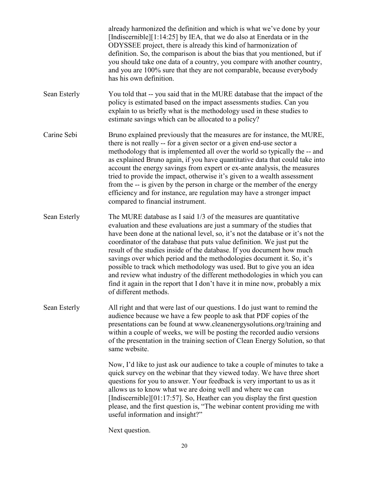already harmonized the definition and which is what we've done by your [Indiscernible][1:14:25] by IEA, that we do also at Enerdata or in the ODYSSEE project, there is already this kind of harmonization of definition. So, the comparison is about the bias that you mentioned, but if you should take one data of a country, you compare with another country, and you are 100% sure that they are not comparable, because everybody has his own definition.

- Sean Esterly You told that -- you said that in the MURE database that the impact of the policy is estimated based on the impact assessments studies. Can you explain to us briefly what is the methodology used in these studies to estimate savings which can be allocated to a policy?
- Carine Sebi Bruno explained previously that the measures are for instance, the MURE, there is not really -- for a given sector or a given end-use sector a methodology that is implemented all over the world so typically the -- and as explained Bruno again, if you have quantitative data that could take into account the energy savings from expert or ex-ante analysis, the measures tried to provide the impact, otherwise it's given to a wealth assessment from the -- is given by the person in charge or the member of the energy efficiency and for instance, are regulation may have a stronger impact compared to financial instrument.
- Sean Esterly The MURE database as I said 1/3 of the measures are quantitative evaluation and these evaluations are just a summary of the studies that have been done at the national level, so, it's not the database or it's not the coordinator of the database that puts value definition. We just put the result of the studies inside of the database. If you document how much savings over which period and the methodologies document it. So, it's possible to track which methodology was used. But to give you an idea and review what industry of the different methodologies in which you can find it again in the report that I don't have it in mine now, probably a mix of different methods.
- Sean Esterly All right and that were last of our questions. I do just want to remind the audience because we have a few people to ask that PDF copies of the presentations can be found at www.cleanenergysolutions.org/training and within a couple of weeks, we will be posting the recorded audio versions of the presentation in the training section of Clean Energy Solution, so that same website.

Now, I'd like to just ask our audience to take a couple of minutes to take a quick survey on the webinar that they viewed today. We have three short questions for you to answer. Your feedback is very important to us as it allows us to know what we are doing well and where we can [Indiscernible][01:17:57]. So, Heather can you display the first question please, and the first question is, "The webinar content providing me with useful information and insight?"

Next question.